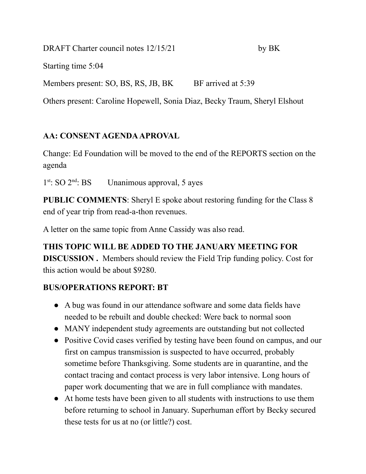DRAFT Charter council notes 12/15/21 by BK

Starting time 5:04

Members present: SO, BS, RS, JB, BK BF arrived at 5:39

Others present: Caroline Hopewell, Sonia Diaz, Becky Traum, Sheryl Elshout

# **AA: CONSENT AGENDAAPROVAL**

Change: Ed Foundation will be moved to the end of the REPORTS section on the agenda

 $1<sup>st</sup>$ : SO  $2<sup>nd</sup>$ Unanimous approval, 5 ayes

**PUBLIC COMMENTS**: Sheryl E spoke about restoring funding for the Class 8 end of year trip from read-a-thon revenues.

A letter on the same topic from Anne Cassidy was also read.

**THIS TOPIC WILL BE ADDED TO THE JANUARY MEETING FOR DISCUSSION .** Members should review the Field Trip funding policy. Cost for this action would be about \$9280.

# **BUS/OPERATIONS REPORT: BT**

- **●** A bug was found in our attendance software and some data fields have needed to be rebuilt and double checked: Were back to normal soon
- **●** MANY independent study agreements are outstanding but not collected
- **●** Positive Covid cases verified by testing have been found on campus, and our first on campus transmission is suspected to have occurred, probably sometime before Thanksgiving. Some students are in quarantine, and the contact tracing and contact process is very labor intensive. Long hours of paper work documenting that we are in full compliance with mandates.
- **●** At home tests have been given to all students with instructions to use them before returning to school in January. Superhuman effort by Becky secured these tests for us at no (or little?) cost.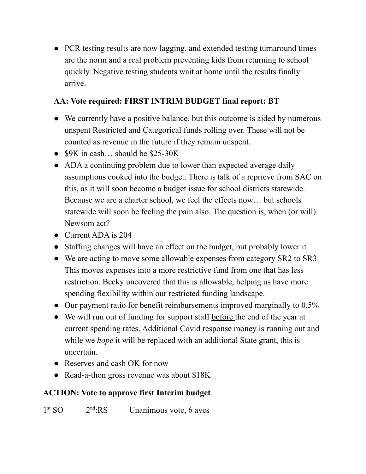**●** PCR testing results are now lagging, and extended testing turnaround times are the norm and a real problem preventing kids from returning to school quickly. Negative testing students wait at home until the results finally arrive.

# **AA: Vote required: FIRST INTRIM BUDGET final report: BT**

- We currently have a positive balance, but this outcome is aided by numerous unspent Restricted and Categorical funds rolling over. These will not be counted as revenue in the future if they remain unspent.
- $\bullet$  \$9K in cash... should be \$25-30K
- ADA a continuing problem due to lower than expected average daily assumptions cooked into the budget. There is talk of a reprieve from SAC on this, as it will soon become a budget issue for school districts statewide. Because we are a charter school, we feel the effects now… but schools statewide will soon be feeling the pain also. The question is, when (or will) Newsom act?
- Current ADA is 204
- Staffing changes will have an effect on the budget, but probably lower it
- We are acting to move some allowable expenses from category SR2 to SR3. This moves expenses into a more restrictive fund from one that has less restriction. Becky uncovered that this is allowable, helping us have more spending flexibility within our restricted funding landscape.
- Our payment ratio for benefit reimbursements improved marginally to 0.5%
- We will run out of funding for support staff before the end of the year at current spending rates. Additional Covid response money is running out and while we *hope* it will be replaced with an additional State grant, this is uncertain.
- Reserves and cash OK for now
- Read-a-thon gross revenue was about \$18K

# **ACTION: Vote to approve first Interim budget**

 $1<sup>st</sup>$  SO  $2<sup>r</sup>$  $2<sup>nd</sup>$ :RS Unanimous vote, 6 ayes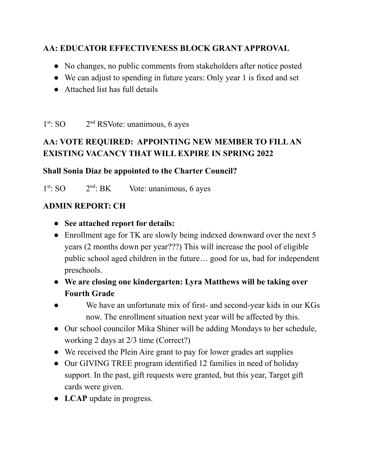### **AA: EDUCATOR EFFECTIVENESS BLOCK GRANT APPROVAL**

- No changes, no public comments from stakeholders after notice posted
- We can adjust to spending in future years: Only year 1 is fixed and set
- Attached list has full details

 $1<sup>st</sup>$ : SO  $2<sup>r</sup>$  $2<sup>nd</sup>$  RSVote: unanimous, 6 ayes

# **AA: VOTE REQUIRED: APPOINTING NEW MEMBER TO FILLAN EXISTING VACANCY THAT WILL EXPIRE IN SPRING 2022**

#### **Shall Sonia Diaz be appointed to the Charter Council?**

 $1<sup>st</sup>$ : SO  $2<sup>r</sup>$  $2<sup>nd</sup>$ : BK Vote: unanimous, 6 ayes

#### **ADMIN REPORT: CH**

- **● See attached report for details:**
- **●** Enrollment age for TK are slowly being indexed downward over the next 5 years (2 months down per year???) This will increase the pool of eligible public school aged children in the future… good for us, bad for independent preschools.
- **● We are closing one kindergarten: Lyra Matthews will be taking over Fourth Grade**
- We have an unfortunate mix of first- and second-year kids in our KGs now. The enrollment situation next year will be affected by this.
- **●** Our school councilor Mika Shiner will be adding Mondays to her schedule, working 2 days at 2/3 time (Correct?)
- **●** We received the Plein Aire grant to pay for lower grades art supplies
- **●** Our GIVING TREE program identified 12 families in need of holiday support. In the past, gift requests were granted, but this year, Target gift cards were given.
- **● LCAP** update in progress.